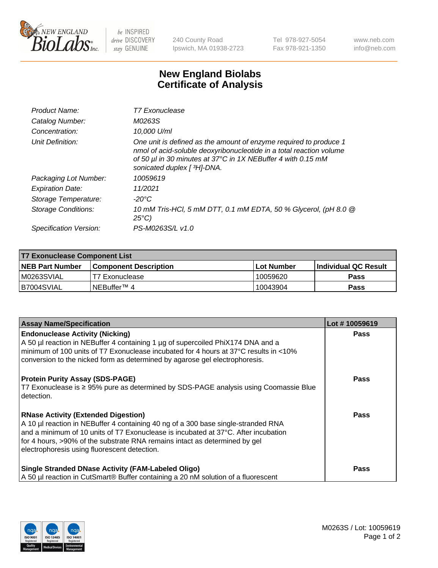

 $be$  INSPIRED drive DISCOVERY stay GENUINE

240 County Road Ipswich, MA 01938-2723 Tel 978-927-5054 Fax 978-921-1350 www.neb.com info@neb.com

## **New England Biolabs Certificate of Analysis**

| Product Name:              | <b>T7 Exonuclease</b>                                                                                                                                                                                                                   |
|----------------------------|-----------------------------------------------------------------------------------------------------------------------------------------------------------------------------------------------------------------------------------------|
| Catalog Number:            | M0263S                                                                                                                                                                                                                                  |
| Concentration:             | 10,000 U/ml                                                                                                                                                                                                                             |
| Unit Definition:           | One unit is defined as the amount of enzyme required to produce 1<br>nmol of acid-soluble deoxyribonucleotide in a total reaction volume<br>of 50 µl in 30 minutes at 37°C in 1X NEBuffer 4 with 0.15 mM<br>sonicated duplex [ 3H]-DNA. |
| Packaging Lot Number:      | 10059619                                                                                                                                                                                                                                |
| <b>Expiration Date:</b>    | 11/2021                                                                                                                                                                                                                                 |
| Storage Temperature:       | -20°C                                                                                                                                                                                                                                   |
| <b>Storage Conditions:</b> | 10 mM Tris-HCl, 5 mM DTT, 0.1 mM EDTA, 50 % Glycerol, (pH 8.0 @<br>$25^{\circ}$ C)                                                                                                                                                      |
| Specification Version:     | PS-M0263S/L v1.0                                                                                                                                                                                                                        |

| T7 Exonuclease Component List |                              |                   |                       |  |
|-------------------------------|------------------------------|-------------------|-----------------------|--|
| NEB Part Number               | <b>Component Description</b> | <b>Lot Number</b> | ∣Individual QC Result |  |
| M0263SVIAL                    | T7 Exonuclease               | 10059620          | <b>Pass</b>           |  |
| B7004SVIAL                    | INEBuffer™ 4                 | 10043904          | <b>Pass</b>           |  |

| <b>Assay Name/Specification</b>                                                                                                                                                                                                                                                                                                                     | Lot #10059619 |
|-----------------------------------------------------------------------------------------------------------------------------------------------------------------------------------------------------------------------------------------------------------------------------------------------------------------------------------------------------|---------------|
| <b>Endonuclease Activity (Nicking)</b><br>A 50 µl reaction in NEBuffer 4 containing 1 µg of supercoiled PhiX174 DNA and a<br>minimum of 100 units of T7 Exonuclease incubated for 4 hours at 37°C results in <10%<br>conversion to the nicked form as determined by agarose gel electrophoresis.                                                    | <b>Pass</b>   |
| <b>Protein Purity Assay (SDS-PAGE)</b><br>T7 Exonuclease is ≥ 95% pure as determined by SDS-PAGE analysis using Coomassie Blue<br>l detection.                                                                                                                                                                                                      | <b>Pass</b>   |
| <b>RNase Activity (Extended Digestion)</b><br>A 10 µl reaction in NEBuffer 4 containing 40 ng of a 300 base single-stranded RNA<br>and a minimum of 10 units of T7 Exonuclease is incubated at 37°C. After incubation<br>for 4 hours, >90% of the substrate RNA remains intact as determined by gel<br>electrophoresis using fluorescent detection. | Pass          |
| <b>Single Stranded DNase Activity (FAM-Labeled Oligo)</b><br>A 50 µl reaction in CutSmart® Buffer containing a 20 nM solution of a fluorescent                                                                                                                                                                                                      | <b>Pass</b>   |